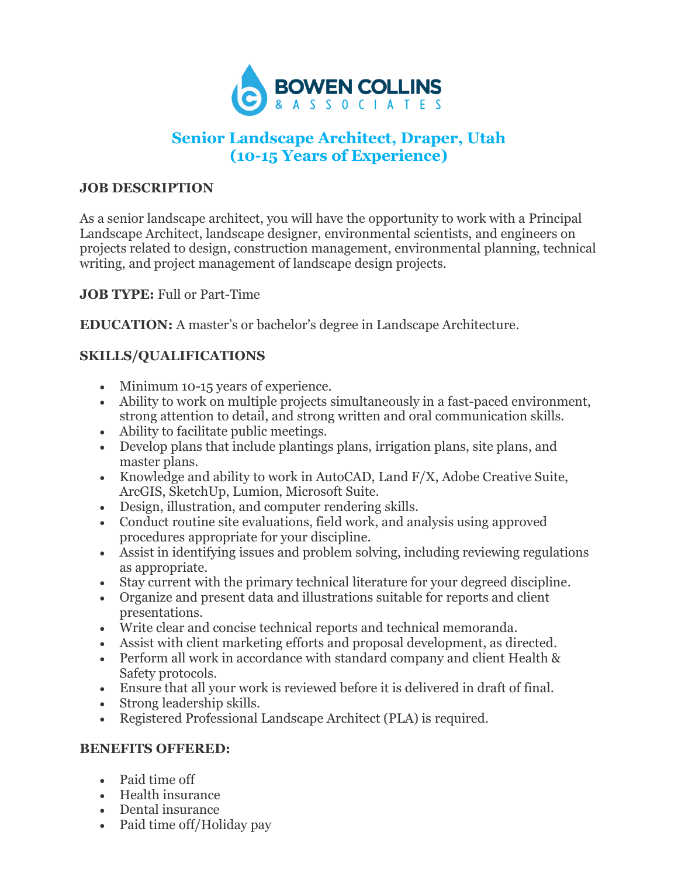

# **Senior Landscape Architect, Draper, Utah (10-15 Years of Experience)**

## **JOB DESCRIPTION**

As a senior landscape architect, you will have the opportunity to work with a Principal Landscape Architect, landscape designer, environmental scientists, and engineers on projects related to design, construction management, environmental planning, technical writing, and project management of landscape design projects.

**JOB TYPE:** Full or Part-Time

**EDUCATION:** A master's or bachelor's degree in Landscape Architecture.

# **SKILLS/QUALIFICATIONS**

- Minimum 10-15 years of experience.
- Ability to work on multiple projects simultaneously in a fast-paced environment, strong attention to detail, and strong written and oral communication skills.
- Ability to facilitate public meetings.
- Develop plans that include plantings plans, irrigation plans, site plans, and master plans.
- Knowledge and ability to work in AutoCAD, Land F/X, Adobe Creative Suite, ArcGIS, SketchUp, Lumion, Microsoft Suite.
- Design, illustration, and computer rendering skills.
- Conduct routine site evaluations, field work, and analysis using approved procedures appropriate for your discipline.
- Assist in identifying issues and problem solving, including reviewing regulations as appropriate.
- Stay current with the primary technical literature for your degreed discipline.
- Organize and present data and illustrations suitable for reports and client presentations.
- Write clear and concise technical reports and technical memoranda.
- Assist with client marketing efforts and proposal development, as directed.
- Perform all work in accordance with standard company and client Health & Safety protocols.
- Ensure that all your work is reviewed before it is delivered in draft of final.
- Strong leadership skills.
- Registered Professional Landscape Architect (PLA) is required.

#### **BENEFITS OFFERED:**

- Paid time off
- Health insurance
- Dental insurance
- Paid time off/Holiday pay